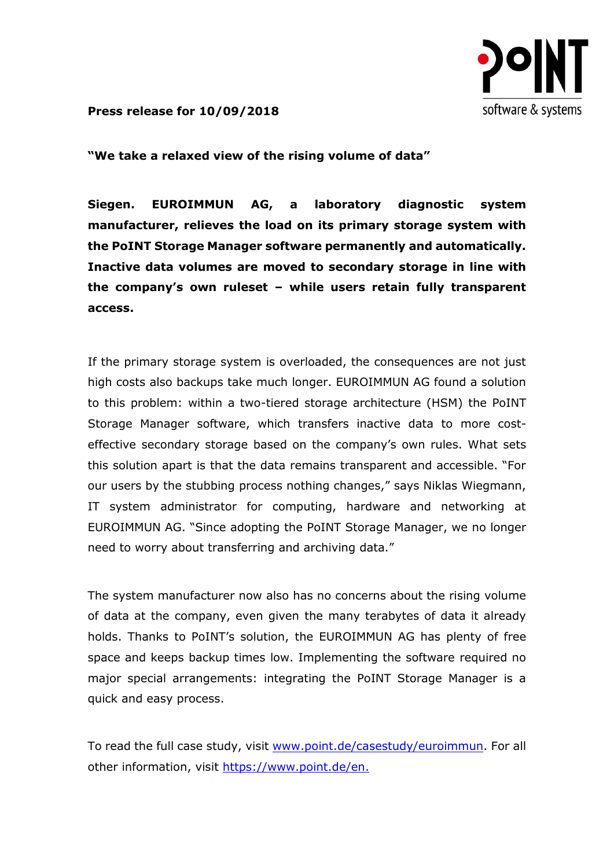

**Press release for 10/09/2018**

**"We take a relaxed view of the rising volume of data"**

**Siegen. EUROIMMUN AG, a laboratory diagnostic system manufacturer, relieves the load on its primary storage system with the PoINT Storage Manager software permanently and automatically. Inactive data volumes are moved to secondary storage in line with the company's own ruleset – while users retain fully transparent access.**

If the primary storage system is overloaded, the consequences are not just high costs also backups take much longer. EUROIMMUN AG found a solution to this problem: within a two-tiered storage architecture (HSM) the PoINT Storage Manager software, which transfers inactive data to more costeffective secondary storage based on the company's own rules. What sets this solution apart is that the data remains transparent and accessible. "For our users by the stubbing process nothing changes," says Niklas Wiegmann, IT system administrator for computing, hardware and networking at EUROIMMUN AG. "Since adopting the PoINT Storage Manager, we no longer need to worry about transferring and archiving data."

The system manufacturer now also has no concerns about the rising volume of data at the company, even given the many terabytes of data it already holds. Thanks to PoINT's solution, the EUROIMMUN AG has plenty of free space and keeps backup times low. Implementing the software required no major special arrangements: integrating the PoINT Storage Manager is a quick and easy process.

To read the full case study, visit [www.point.de/casestudy/euroimmun.](http://www.point.de/casestudy/euroimmun) For all other information, visit https://www.point.de/en.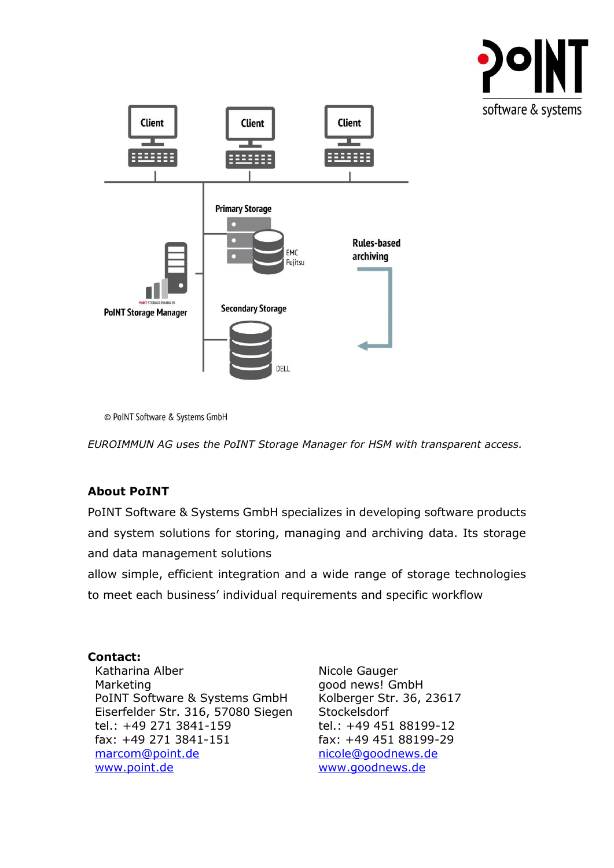



<sup>©</sup> PoINT Software & Systems GmbH

*EUROIMMUN AG uses the PoINT Storage Manager for HSM with transparent access.*

## **About PoINT**

PoINT Software & Systems GmbH specializes in developing software products and system solutions for storing, managing and archiving data. Its storage and data management solutions

allow simple, efficient integration and a wide range of storage technologies to meet each business' individual requirements and specific workflow

## **Contact:**

Katharina Alber Marketing PoINT Software & Systems GmbH Eiserfelder Str. 316, 57080 Siegen tel.: +49 271 3841-159 fax: +49 271 3841-151 [marcom@point.de](mailto:marcom@point.de) [www.point.de](http://www.point.de/)

Nicole Gauger good news! GmbH Kolberger Str. 36, 23617 **Stockelsdorf** tel.: +49 451 88199-12 fax: +49 451 88199-29 [nicole@goodnews.de](mailto:nicole@goodnews.de) www.goodnews.de